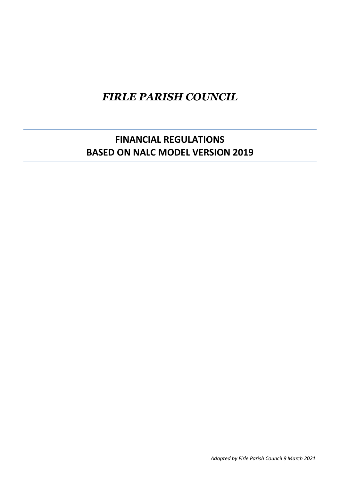# *FIRLE PARISH COUNCIL*

## **FINANCIAL REGULATIONS BASED ON NALC MODEL VERSION 2019**

*Adopted by Firle Parish Council 9 March 2021*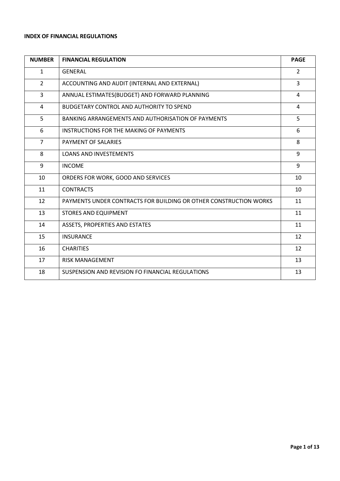## **INDEX OF FINANCIAL REGULATIONS**

| <b>NUMBER</b>  | <b>FINANCIAL REGULATION</b>                                       | <b>PAGE</b>    |
|----------------|-------------------------------------------------------------------|----------------|
| $\mathbf{1}$   | <b>GENERAL</b>                                                    | $\overline{2}$ |
| $\overline{2}$ | ACCOUNTING AND AUDIT (INTERNAL AND EXTERNAL)                      | 3              |
| 3              | ANNUAL ESTIMATES(BUDGET) AND FORWARD PLANNING                     | 4              |
| 4              | <b>BUDGETARY CONTROL AND AUTHORITY TO SPEND</b>                   | 4              |
| 5              | BANKING ARRANGEMENTS AND AUTHORISATION OF PAYMENTS                | 5              |
| 6              | INSTRUCTIONS FOR THE MAKING OF PAYMENTS                           | 6              |
| $\overline{7}$ | PAYMENT OF SALARIES                                               | 8              |
| 8              | <b>LOANS AND INVESTEMENTS</b>                                     | 9              |
| 9              | <b>INCOME</b>                                                     | 9              |
| 10             | ORDERS FOR WORK, GOOD AND SERVICES                                | 10             |
| 11             | <b>CONTRACTS</b>                                                  | 10             |
| 12             | PAYMENTS UNDER CONTRACTS FOR BUILDING OR OTHER CONSTRUCTION WORKS | 11             |
| 13             | <b>STORES AND EQUIPMENT</b>                                       | 11             |
| 14             | ASSETS, PROPERTIES AND ESTATES                                    | 11             |
| 15             | <b>INSURANCE</b>                                                  | 12             |
| 16             | <b>CHARITIES</b>                                                  | 12             |
| 17             | <b>RISK MANAGEMENT</b>                                            | 13             |
| 18             | SUSPENSION AND REVISION FO FINANCIAL REGULATIONS                  | 13             |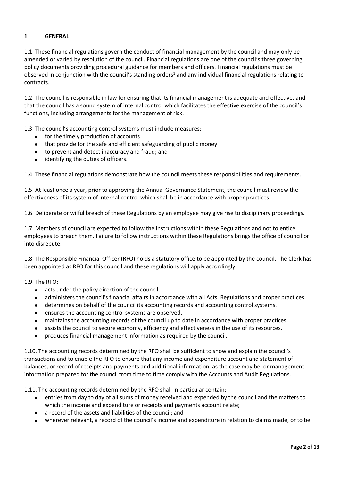## **1 GENERAL**

1.1. These financial regulations govern the conduct of financial management by the council and may only be amended or varied by resolution of the council. Financial regulations are one of the council's three governing policy documents providing procedural guidance for members and officers. Financial regulations must be observed in conjunction with the council's standing orders<sup>1</sup> and any individual financial regulations relating to contracts.

1.2. The council is responsible in law for ensuring that its financial management is adequate and effective, and that the council has a sound system of internal control which facilitates the effective exercise of the council's functions, including arrangements for the management of risk.

1.3. The council's accounting control systems must include measures:

- for the timely production of accounts
- that provide for the safe and efficient safeguarding of public money
- to prevent and detect inaccuracy and fraud; and
- identifying the duties of officers.

1.4. These financial regulations demonstrate how the council meets these responsibilities and requirements.

1.5. At least once a year, prior to approving the Annual Governance Statement, the council must review the effectiveness of its system of internal control which shall be in accordance with proper practices.

1.6. Deliberate or wilful breach of these Regulations by an employee may give rise to disciplinary proceedings.

1.7. Members of council are expected to follow the instructions within these Regulations and not to entice employees to breach them. Failure to follow instructions within these Regulations brings the office of councillor into disrepute.

1.8. The Responsible Financial Officer (RFO) holds a statutory office to be appointed by the council. The Clerk has been appointed as RFO for this council and these regulations will apply accordingly.

1.9. The RFO:

- acts under the policy direction of the council.
- administers the council's financial affairs in accordance with all Acts, Regulations and proper practices.
- determines on behalf of the council its accounting records and accounting control systems.
- ensures the accounting control systems are observed.
- maintains the accounting records of the council up to date in accordance with proper practices.
- assists the council to secure economy, efficiency and effectiveness in the use of its resources.
- produces financial management information as required by the council.

1.10. The accounting records determined by the RFO shall be sufficient to show and explain the council's transactions and to enable the RFO to ensure that any income and expenditure account and statement of balances, or record of receipts and payments and additional information, as the case may be, or management information prepared for the council from time to time comply with the Accounts and Audit Regulations.

1.11. The accounting records determined by the RFO shall in particular contain:

- entries from day to day of all sums of money received and expended by the council and the matters to which the income and expenditure or receipts and payments account relate;
- a record of the assets and liabilities of the council; and
- wherever relevant, a record of the council's income and expenditure in relation to claims made, or to be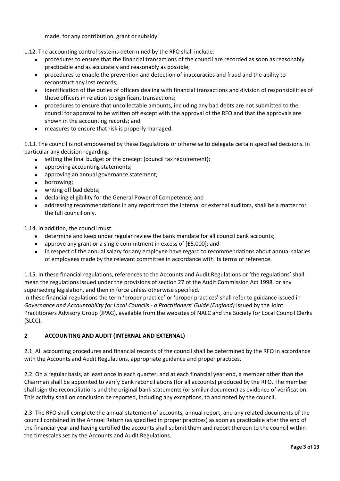made, for any contribution, grant or subsidy.

1.12. The accounting control systems determined by the RFO shall include:

- procedures to ensure that the financial transactions of the council are recorded as soon as reasonably practicable and as accurately and reasonably as possible;
- procedures to enable the prevention and detection of inaccuracies and fraud and the ability to reconstruct any lost records;
- identification of the duties of officers dealing with financial transactions and division of responsibilities of those officers in relation to significant transactions;
- procedures to ensure that uncollectable amounts, including any bad debts are not submitted to the council for approval to be written off except with the approval of the RFO and that the approvals are shown in the accounting records; and
- measures to ensure that risk is properly managed.

1.13. The council is not empowered by these Regulations or otherwise to delegate certain specified decisions. In particular any decision regarding:

- setting the final budget or the precept (council tax requirement);
- approving accounting statements;
- approving an annual governance statement;
- borrowing;
- writing off bad debts;
- declaring eligibility for the General Power of Competence; and
- addressing recommendations in any report from the internal or external auditors, shall be a matter for the full council only.

1.14. In addition, the council must:

- determine and keep under regular review the bank mandate for all council bank accounts;
- approve any grant or a single commitment in excess of [£5,000]; and
- in respect of the annual salary for any employee have regard to recommendations about annual salaries of employees made by the relevant committee in accordance with its terms of reference.

1.15. In these financial regulations, references to the Accounts and Audit Regulations or 'the regulations' shall mean the regulations issued under the provisions of section 27 of the Audit Commission Act 1998, or any superseding legislation, and then in force unless otherwise specified.

In these financial regulations the term 'proper practice' or 'proper practices' shall refer to guidance issued in *Governance and Accountability for Local Councils - a Practitioners' Guide (England)* issued by the Joint Practitioners Advisory Group (JPAG), available from the websites of NALC and the Society for Local Council Clerks (SLCC).

## **2 ACCOUNTING AND AUDIT (INTERNAL AND EXTERNAL)**

2.1. All accounting procedures and financial records of the council shall be determined by the RFO in accordance with the Accounts and Audit Regulations, appropriate guidance and proper practices.

2.2. On a regular basis, at least once in each quarter, and at each financial year end, a member other than the Chairman shall be appointed to verify bank reconciliations (for all accounts) produced by the RFO. The member shall sign the reconciliations and the original bank statements (or similar document) as evidence of verification. This activity shall on conclusion be reported, including any exceptions, to and noted by the council.

2.3. The RFO shall complete the annual statement of accounts, annual report, and any related documents of the council contained in the Annual Return (as specified in proper practices) as soon as practicable after the end of the financial year and having certified the accounts shall submit them and report thereon to the council within the timescales set by the Accounts and Audit Regulations.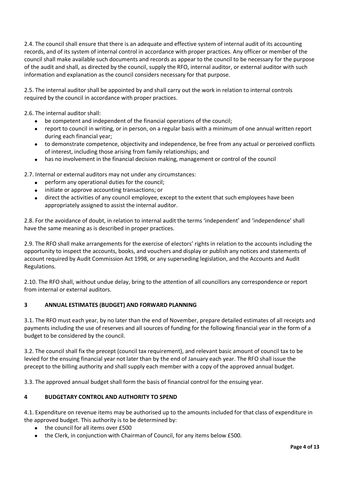2.4. The council shall ensure that there is an adequate and effective system of internal audit of its accounting records, and of its system of internal control in accordance with proper practices. Any officer or member of the council shall make available such documents and records as appear to the council to be necessary for the purpose of the audit and shall, as directed by the council, supply the RFO, internal auditor, or external auditor with such information and explanation as the council considers necessary for that purpose.

2.5. The internal auditor shall be appointed by and shall carry out the work in relation to internal controls required by the council in accordance with proper practices.

2.6. The internal auditor shall:

- be competent and independent of the financial operations of the council;
- report to council in writing, or in person, on a regular basis with a minimum of one annual written report during each financial year;
- to demonstrate competence, objectivity and independence, be free from any actual or perceived conflicts of interest, including those arising from family relationships; and
- has no involvement in the financial decision making, management or control of the council

2.7. Internal or external auditors may not under any circumstances:

- perform any operational duties for the council;
- initiate or approve accounting transactions; or
- direct the activities of any council employee, except to the extent that such employees have been appropriately assigned to assist the internal auditor.

2.8. For the avoidance of doubt, in relation to internal audit the terms 'independent' and 'independence' shall have the same meaning as is described in proper practices.

2.9. The RFO shall make arrangements for the exercise of electors' rights in relation to the accounts including the opportunity to inspect the accounts, books, and vouchers and display or publish any notices and statements of account required by Audit Commission Act 1998, or any superseding legislation, and the Accounts and Audit Regulations.

2.10. The RFO shall, without undue delay, bring to the attention of all councillors any correspondence or report from internal or external auditors.

## **3 ANNUAL ESTIMATES (BUDGET) AND FORWARD PLANNING**

3.1. The RFO must each year, by no later than the end of November, prepare detailed estimates of all receipts and payments including the use of reserves and all sources of funding for the following financial year in the form of a budget to be considered by the council.

3.2. The council shall fix the precept (council tax requirement), and relevant basic amount of council tax to be levied for the ensuing financial year not later than by the end of January each year. The RFO shall issue the precept to the billing authority and shall supply each member with a copy of the approved annual budget.

3.3. The approved annual budget shall form the basis of financial control for the ensuing year.

## **4 BUDGETARY CONTROL AND AUTHORITY TO SPEND**

4.1. Expenditure on revenue items may be authorised up to the amounts included for that class of expenditure in the approved budget. This authority is to be determined by:

- the council for all items over £500
- the Clerk, in conjunction with Chairman of Council, for any items below £500.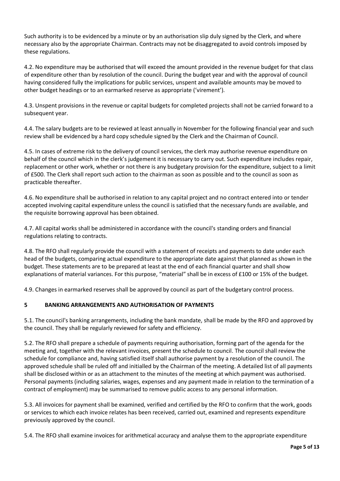Such authority is to be evidenced by a minute or by an authorisation slip duly signed by the Clerk, and where necessary also by the appropriate Chairman. Contracts may not be disaggregated to avoid controls imposed by these regulations.

4.2. No expenditure may be authorised that will exceed the amount provided in the revenue budget for that class of expenditure other than by resolution of the council. During the budget year and with the approval of council having considered fully the implications for public services, unspent and available amounts may be moved to other budget headings or to an earmarked reserve as appropriate ('virement').

4.3. Unspent provisions in the revenue or capital budgets for completed projects shall not be carried forward to a subsequent year.

4.4. The salary budgets are to be reviewed at least annually in November for the following financial year and such review shall be evidenced by a hard copy schedule signed by the Clerk and the Chairman of Council.

4.5. In cases of extreme risk to the delivery of council services, the clerk may authorise revenue expenditure on behalf of the council which in the clerk's judgement it is necessary to carry out. Such expenditure includes repair, replacement or other work, whether or not there is any budgetary provision for the expenditure, subject to a limit of £500. The Clerk shall report such action to the chairman as soon as possible and to the council as soon as practicable thereafter.

4.6. No expenditure shall be authorised in relation to any capital project and no contract entered into or tender accepted involving capital expenditure unless the council is satisfied that the necessary funds are available, and the requisite borrowing approval has been obtained.

4.7. All capital works shall be administered in accordance with the council's standing orders and financial regulations relating to contracts.

4.8. The RFO shall regularly provide the council with a statement of receipts and payments to date under each head of the budgets, comparing actual expenditure to the appropriate date against that planned as shown in the budget. These statements are to be prepared at least at the end of each financial quarter and shall show explanations of material variances. For this purpose, "material" shall be in excess of £100 or 15% of the budget.

4.9. Changes in earmarked reserves shall be approved by council as part of the budgetary control process.

## **5 BANKING ARRANGEMENTS AND AUTHORISATION OF PAYMENTS**

5.1. The council's banking arrangements, including the bank mandate, shall be made by the RFO and approved by the council. They shall be regularly reviewed for safety and efficiency.

5.2. The RFO shall prepare a schedule of payments requiring authorisation, forming part of the agenda for the meeting and, together with the relevant invoices, present the schedule to council. The council shall review the schedule for compliance and, having satisfied itself shall authorise payment by a resolution of the council. The approved schedule shall be ruled off and initialled by the Chairman of the meeting. A detailed list of all payments shall be disclosed within or as an attachment to the minutes of the meeting at which payment was authorised. Personal payments (including salaries, wages, expenses and any payment made in relation to the termination of a contract of employment) may be summarised to remove public access to any personal information.

5.3. All invoices for payment shall be examined, verified and certified by the RFO to confirm that the work, goods or services to which each invoice relates has been received, carried out, examined and represents expenditure previously approved by the council.

5.4. The RFO shall examine invoices for arithmetical accuracy and analyse them to the appropriate expenditure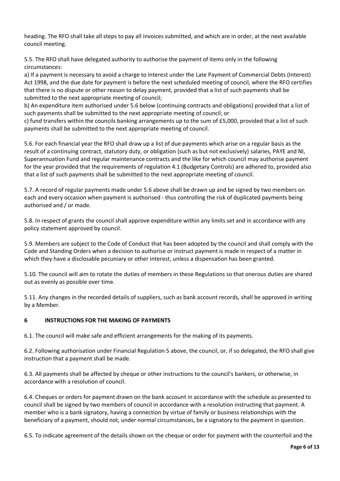heading. The RFO shall take all steps to pay all invoices submitted, and which are in order, at the next available council meeting.

5.5. The RFO shall have delegated authority to authorise the payment of items only in the following circumstances:

a) If a payment is necessary to avoid a charge to interest under the Late Payment of Commercial Debts (Interest) Act 1998, and the due date for payment is before the next scheduled meeting of council, where the RFO certifies that there is no dispute or other reason to delay payment, provided that a list of such payments shall be submitted to the next appropriate meeting of council;

b) An expenditure item authorised under 5.6 below (continuing contracts and obligations) provided that a list of such payments shall be submitted to the next appropriate meeting of council; or

c) fund transfers within the councils banking arrangements up to the sum of £5,000, provided that a list of such payments shall be submitted to the next appropriate meeting of council.

5.6. For each financial year the RFO shall draw up a list of due payments which arise on a regular basis as the result of a continuing contract, statutory duty, or obligation (such as but not exclusively) salaries, PAYE and NI, Superannuation Fund and regular maintenance contracts and the like for which council may authorise payment for the year provided that the requirements of regulation 4.1 (Budgetary Controls) are adhered to, provided also that a list of such payments shall be submitted to the next appropriate meeting of council.

5.7. A record of regular payments made under 5.6 above shall be drawn up and be signed by two members on each and every occasion when payment is authorised - thus controlling the risk of duplicated payments being authorised and / or made.

5.8. In respect of grants the council shall approve expenditure within any limits set and in accordance with any policy statement approved by council.

5.9. Members are subject to the Code of Conduct that has been adopted by the council and shall comply with the Code and Standing Orders when a decision to authorise or instruct payment is made in respect of a matter in which they have a disclosable pecuniary or other interest, unless a dispensation has been granted.

5.10. The council will aim to rotate the duties of members in these Regulations so that onerous duties are shared out as evenly as possible over time.

5.11. Any changes in the recorded details of suppliers, such as bank account records, shall be approved in writing by a Member.

## **6 INSTRUCTIONS FOR THE MAKING OF PAYMENTS**

6.1. The council will make safe and efficient arrangements for the making of its payments.

6.2. Following authorisation under Financial Regulation 5 above, the council, or, if so delegated, the RFO shall give instruction that a payment shall be made.

6.3. All payments shall be affected by cheque or other instructions to the council's bankers, or otherwise, in accordance with a resolution of council.

6.4. Cheques or orders for payment drawn on the bank account in accordance with the schedule as presented to council shall be signed by two members of council in accordance with a resolution instructing that payment. A member who is a bank signatory, having a connection by virtue of family or business relationships with the beneficiary of a payment, should not, under normal circumstances, be a signatory to the payment in question.

6.5. To indicate agreement of the details shown on the cheque or order for payment with the counterfoil and the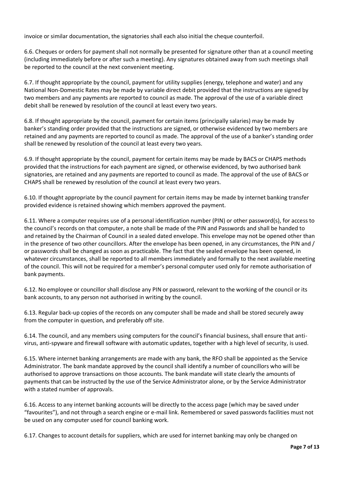invoice or similar documentation, the signatories shall each also initial the cheque counterfoil.

6.6. Cheques or orders for payment shall not normally be presented for signature other than at a council meeting (including immediately before or after such a meeting). Any signatures obtained away from such meetings shall be reported to the council at the next convenient meeting.

6.7. If thought appropriate by the council, payment for utility supplies (energy, telephone and water) and any National Non-Domestic Rates may be made by variable direct debit provided that the instructions are signed by two members and any payments are reported to council as made. The approval of the use of a variable direct debit shall be renewed by resolution of the council at least every two years.

6.8. If thought appropriate by the council, payment for certain items (principally salaries) may be made by banker's standing order provided that the instructions are signed, or otherwise evidenced by two members are retained and any payments are reported to council as made. The approval of the use of a banker's standing order shall be renewed by resolution of the council at least every two years.

6.9. If thought appropriate by the council, payment for certain items may be made by BACS or CHAPS methods provided that the instructions for each payment are signed, or otherwise evidenced, by two authorised bank signatories, are retained and any payments are reported to council as made. The approval of the use of BACS or CHAPS shall be renewed by resolution of the council at least every two years.

6.10. If thought appropriate by the council payment for certain items may be made by internet banking transfer provided evidence is retained showing which members approved the payment.

6.11. Where a computer requires use of a personal identification number (PIN) or other password(s), for access to the council's records on that computer, a note shall be made of the PIN and Passwords and shall be handed to and retained by the Chairman of Council in a sealed dated envelope. This envelope may not be opened other than in the presence of two other councillors. After the envelope has been opened, in any circumstances, the PIN and / or passwords shall be changed as soon as practicable. The fact that the sealed envelope has been opened, in whatever circumstances, shall be reported to all members immediately and formally to the next available meeting of the council. This will not be required for a member's personal computer used only for remote authorisation of bank payments.

6.12. No employee or councillor shall disclose any PIN or password, relevant to the working of the council or its bank accounts, to any person not authorised in writing by the council.

6.13. Regular back-up copies of the records on any computer shall be made and shall be stored securely away from the computer in question, and preferably off site.

6.14. The council, and any members using computers for the council's financial business, shall ensure that antivirus, anti-spyware and firewall software with automatic updates, together with a high level of security, is used.

6.15. Where internet banking arrangements are made with any bank, the RFO shall be appointed as the Service Administrator. The bank mandate approved by the council shall identify a number of councillors who will be authorised to approve transactions on those accounts. The bank mandate will state clearly the amounts of payments that can be instructed by the use of the Service Administrator alone, or by the Service Administrator with a stated number of approvals.

6.16. Access to any internet banking accounts will be directly to the access page (which may be saved under "favourites"), and not through a search engine or e-mail link. Remembered or saved passwords facilities must not be used on any computer used for council banking work.

6.17. Changes to account details for suppliers, which are used for internet banking may only be changed on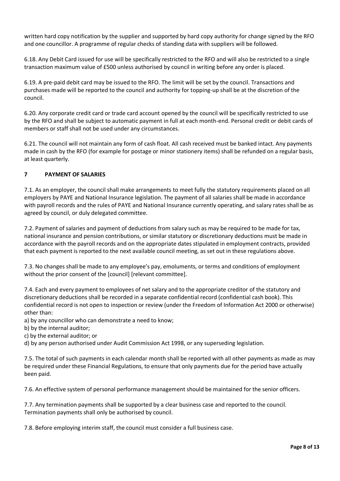written hard copy notification by the supplier and supported by hard copy authority for change signed by the RFO and one councillor. A programme of regular checks of standing data with suppliers will be followed.

6.18. Any Debit Card issued for use will be specifically restricted to the RFO and will also be restricted to a single transaction maximum value of £500 unless authorised by council in writing before any order is placed.

6.19. A pre-paid debit card may be issued to the RFO. The limit will be set by the council. Transactions and purchases made will be reported to the council and authority for topping-up shall be at the discretion of the council.

6.20. Any corporate credit card or trade card account opened by the council will be specifically restricted to use by the RFO and shall be subject to automatic payment in full at each month-end. Personal credit or debit cards of members or staff shall not be used under any circumstances.

6.21. The council will not maintain any form of cash float. All cash received must be banked intact. Any payments made in cash by the RFO (for example for postage or minor stationery items) shall be refunded on a regular basis, at least quarterly.

## **7 PAYMENT OF SALARIES**

7.1. As an employer, the council shall make arrangements to meet fully the statutory requirements placed on all employers by PAYE and National Insurance legislation. The payment of all salaries shall be made in accordance with payroll records and the rules of PAYE and National Insurance currently operating, and salary rates shall be as agreed by council, or duly delegated committee.

7.2. Payment of salaries and payment of deductions from salary such as may be required to be made for tax, national insurance and pension contributions, or similar statutory or discretionary deductions must be made in accordance with the payroll records and on the appropriate dates stipulated in employment contracts, provided that each payment is reported to the next available council meeting, as set out in these regulations above.

7.3. No changes shall be made to any employee's pay, emoluments, or terms and conditions of employment without the prior consent of the [council] [relevant committee].

7.4. Each and every payment to employees of net salary and to the appropriate creditor of the statutory and discretionary deductions shall be recorded in a separate confidential record (confidential cash book). This confidential record is not open to inspection or review (under the Freedom of Information Act 2000 or otherwise) other than:

a) by any councillor who can demonstrate a need to know;

b) by the internal auditor;

c) by the external auditor; or

d) by any person authorised under Audit Commission Act 1998, or any superseding legislation.

7.5. The total of such payments in each calendar month shall be reported with all other payments as made as may be required under these Financial Regulations, to ensure that only payments due for the period have actually been paid.

7.6. An effective system of personal performance management should be maintained for the senior officers.

7.7. Any termination payments shall be supported by a clear business case and reported to the council. Termination payments shall only be authorised by council.

7.8. Before employing interim staff, the council must consider a full business case.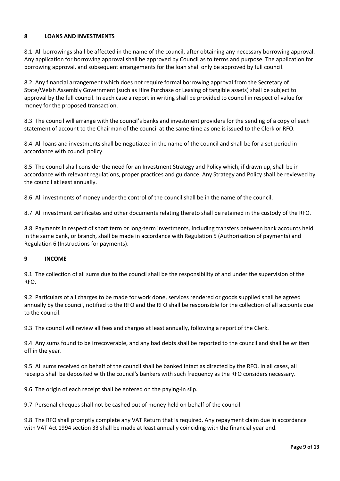## **8 LOANS AND INVESTMENTS**

8.1. All borrowings shall be affected in the name of the council, after obtaining any necessary borrowing approval. Any application for borrowing approval shall be approved by Council as to terms and purpose. The application for borrowing approval, and subsequent arrangements for the loan shall only be approved by full council.

8.2. Any financial arrangement which does not require formal borrowing approval from the Secretary of State/Welsh Assembly Government (such as Hire Purchase or Leasing of tangible assets) shall be subject to approval by the full council. In each case a report in writing shall be provided to council in respect of value for money for the proposed transaction.

8.3. The council will arrange with the council's banks and investment providers for the sending of a copy of each statement of account to the Chairman of the council at the same time as one is issued to the Clerk or RFO.

8.4. All loans and investments shall be negotiated in the name of the council and shall be for a set period in accordance with council policy.

8.5. The council shall consider the need for an Investment Strategy and Policy which, if drawn up, shall be in accordance with relevant regulations, proper practices and guidance. Any Strategy and Policy shall be reviewed by the council at least annually.

8.6. All investments of money under the control of the council shall be in the name of the council.

8.7. All investment certificates and other documents relating thereto shall be retained in the custody of the RFO.

8.8. Payments in respect of short term or long-term investments, including transfers between bank accounts held in the same bank, or branch, shall be made in accordance with Regulation 5 (Authorisation of payments) and Regulation 6 (Instructions for payments).

#### **9 INCOME**

9.1. The collection of all sums due to the council shall be the responsibility of and under the supervision of the RFO.

9.2. Particulars of all charges to be made for work done, services rendered or goods supplied shall be agreed annually by the council, notified to the RFO and the RFO shall be responsible for the collection of all accounts due to the council.

9.3. The council will review all fees and charges at least annually, following a report of the Clerk.

9.4. Any sums found to be irrecoverable, and any bad debts shall be reported to the council and shall be written off in the year.

9.5. All sums received on behalf of the council shall be banked intact as directed by the RFO. In all cases, all receipts shall be deposited with the council's bankers with such frequency as the RFO considers necessary.

9.6. The origin of each receipt shall be entered on the paying-in slip.

9.7. Personal cheques shall not be cashed out of money held on behalf of the council.

9.8. The RFO shall promptly complete any VAT Return that is required. Any repayment claim due in accordance with VAT Act 1994 section 33 shall be made at least annually coinciding with the financial year end.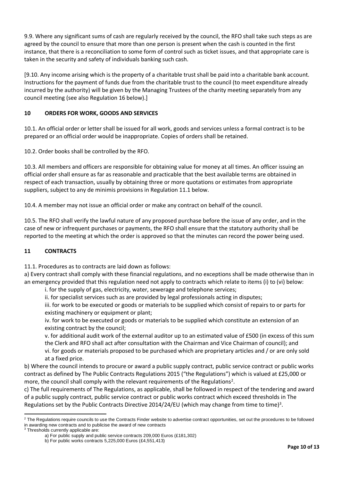9.9. Where any significant sums of cash are regularly received by the council, the RFO shall take such steps as are agreed by the council to ensure that more than one person is present when the cash is counted in the first instance, that there is a reconciliation to some form of control such as ticket issues, and that appropriate care is taken in the security and safety of individuals banking such cash.

[9.10. Any income arising which is the property of a charitable trust shall be paid into a charitable bank account. Instructions for the payment of funds due from the charitable trust to the council (to meet expenditure already incurred by the authority) will be given by the Managing Trustees of the charity meeting separately from any council meeting (see also Regulation 16 below).]

## **10 ORDERS FOR WORK, GOODS AND SERVICES**

10.1. An official order or letter shall be issued for all work, goods and services unless a formal contract is to be prepared or an official order would be inappropriate. Copies of orders shall be retained.

10.2. Order books shall be controlled by the RFO.

10.3. All members and officers are responsible for obtaining value for money at all times. An officer issuing an official order shall ensure as far as reasonable and practicable that the best available terms are obtained in respect of each transaction, usually by obtaining three or more quotations or estimates from appropriate suppliers, subject to any de minimis provisions in Regulation 11.1 below.

10.4. A member may not issue an official order or make any contract on behalf of the council.

10.5. The RFO shall verify the lawful nature of any proposed purchase before the issue of any order, and in the case of new or infrequent purchases or payments, the RFO shall ensure that the statutory authority shall be reported to the meeting at which the order is approved so that the minutes can record the power being used.

## **11 CONTRACTS**

11.1. Procedures as to contracts are laid down as follows:

a) Every contract shall comply with these financial regulations, and no exceptions shall be made otherwise than in an emergency provided that this regulation need not apply to contracts which relate to items (i) to (vi) below:

i. for the supply of gas, electricity, water, sewerage and telephone services;

ii. for specialist services such as are provided by legal professionals acting in disputes;

iii. for work to be executed or goods or materials to be supplied which consist of repairs to or parts for existing machinery or equipment or plant;

iv. for work to be executed or goods or materials to be supplied which constitute an extension of an existing contract by the council;

v. for additional audit work of the external auditor up to an estimated value of £500 (in excess of this sum the Clerk and RFO shall act after consultation with the Chairman and Vice Chairman of council); and vi. for goods or materials proposed to be purchased which are proprietary articles and / or are only sold at a fixed price.

b) Where the council intends to procure or award a public supply contract, public service contract or public works contract as defined by The Public Contracts Regulations 2015 ("the Regulations") which is valued at £25,000 or more, the council shall comply with the relevant requirements of the Regulations<sup>2</sup>.

c) The full requirements of The Regulations, as applicable, shall be followed in respect of the tendering and award of a public supply contract, public service contract or public works contract which exceed thresholds in The Regulations set by the Public Contracts Directive 2014/24/EU (which may change from time to time)<sup>3</sup>.

<sup>&</sup>lt;sup>2</sup> The Regulations require councils to use the Contracts Finder website to advertise contract opportunities, set out the procedures to be followed in awarding new contracts and to publicise the award of new contracts

<sup>&</sup>lt;sup>3</sup> Thresholds currently applicable are:

a) For public supply and public service contracts 209,000 Euros (£181,302)

b) For public works contracts 5,225,000 Euros (£4,551,413)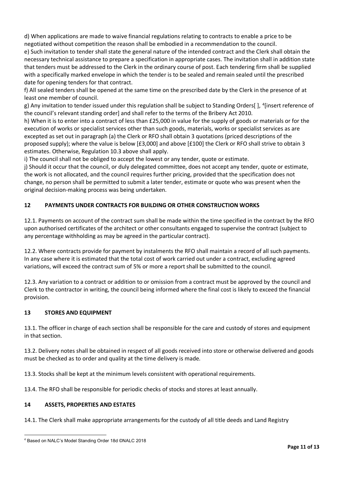d) When applications are made to waive financial regulations relating to contracts to enable a price to be negotiated without competition the reason shall be embodied in a recommendation to the council.

e) Such invitation to tender shall state the general nature of the intended contract and the Clerk shall obtain the necessary technical assistance to prepare a specification in appropriate cases. The invitation shall in addition state that tenders must be addressed to the Clerk in the ordinary course of post. Each tendering firm shall be supplied with a specifically marked envelope in which the tender is to be sealed and remain sealed until the prescribed date for opening tenders for that contract.

f) All sealed tenders shall be opened at the same time on the prescribed date by the Clerk in the presence of at least one member of council.

g) Any invitation to tender issued under this regulation shall be subject to Standing Orders[], <sup>4</sup>[insert reference of the council's relevant standing order] and shall refer to the terms of the Bribery Act 2010.

h) When it is to enter into a contract of less than £25,000 in value for the supply of goods or materials or for the execution of works or specialist services other than such goods, materials, works or specialist services as are excepted as set out in paragraph (a) the Clerk or RFO shall obtain 3 quotations (priced descriptions of the proposed supply); where the value is below [£3,000] and above [£100] the Clerk or RFO shall strive to obtain 3 estimates. Otherwise, Regulation 10.3 above shall apply.

i) The council shall not be obliged to accept the lowest or any tender, quote or estimate.

j) Should it occur that the council, or duly delegated committee, does not accept any tender, quote or estimate, the work is not allocated, and the council requires further pricing, provided that the specification does not change, no person shall be permitted to submit a later tender, estimate or quote who was present when the original decision-making process was being undertaken.

## **12 PAYMENTS UNDER CONTRACTS FOR BUILDING OR OTHER CONSTRUCTION WORKS**

12.1. Payments on account of the contract sum shall be made within the time specified in the contract by the RFO upon authorised certificates of the architect or other consultants engaged to supervise the contract (subject to any percentage withholding as may be agreed in the particular contract).

12.2. Where contracts provide for payment by instalments the RFO shall maintain a record of all such payments. In any case where it is estimated that the total cost of work carried out under a contract, excluding agreed variations, will exceed the contract sum of 5% or more a report shall be submitted to the council.

12.3. Any variation to a contract or addition to or omission from a contract must be approved by the council and Clerk to the contractor in writing, the council being informed where the final cost is likely to exceed the financial provision.

#### **13 STORES AND EQUIPMENT**

13.1. The officer in charge of each section shall be responsible for the care and custody of stores and equipment in that section.

13.2. Delivery notes shall be obtained in respect of all goods received into store or otherwise delivered and goods must be checked as to order and quality at the time delivery is made.

13.3. Stocks shall be kept at the minimum levels consistent with operational requirements.

13.4. The RFO shall be responsible for periodic checks of stocks and stores at least annually.

#### **14 ASSETS, PROPERTIES AND ESTATES**

14.1. The Clerk shall make appropriate arrangements for the custody of all title deeds and Land Registry

<sup>4</sup> Based on NALC's Model Standing Order 18d ©NALC 2018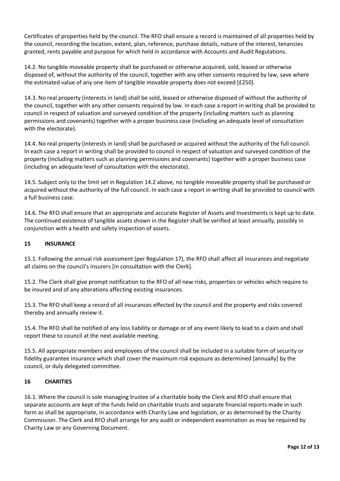Certificates of properties held by the council. The RFO shall ensure a record is maintained of all properties held by the council, recording the location, extent, plan, reference, purchase details, nature of the interest, tenancies granted, rents payable and purpose for which held in accordance with Accounts and Audit Regulations.

14.2. No tangible moveable property shall be purchased or otherwise acquired, sold, leased or otherwise disposed of, without the authority of the council, together with any other consents required by law, save where the estimated value of any one item of tangible movable property does not exceed [£250].

14.3. No real property (interests in land) shall be sold, leased or otherwise disposed of without the authority of the council, together with any other consents required by law. In each case a report in writing shall be provided to council in respect of valuation and surveyed condition of the property (including matters such as planning permissions and covenants) together with a proper business case (including an adequate level of consultation with the electorate).

14.4. No real property (interests in land) shall be purchased or acquired without the authority of the full council. In each case a report in writing shall be provided to council in respect of valuation and surveyed condition of the property (including matters such as planning permissions and covenants) together with a proper business case (including an adequate level of consultation with the electorate).

14.5. Subject only to the limit set in Regulation 14.2 above, no tangible moveable property shall be purchased or acquired without the authority of the full council. In each case a report in writing shall be provided to council with a full business case.

14.6. The RFO shall ensure that an appropriate and accurate Register of Assets and Investments is kept up to date. The continued existence of tangible assets shown in the Register shall be verified at least annually, possibly in conjunction with a health and safety inspection of assets.

## **15 INSURANCE**

15.1. Following the annual risk assessment (per Regulation 17), the RFO shall affect all insurances and negotiate all claims on the council's insurers [in consultation with the Clerk].

15.2. The Clerk shall give prompt notification to the RFO of all new risks, properties or vehicles which require to be insured and of any alterations affecting existing insurances.

15.3. The RFO shall keep a record of all insurances effected by the council and the property and risks covered thereby and annually review it.

15.4. The RFO shall be notified of any loss liability or damage or of any event likely to lead to a claim and shall report these to council at the next available meeting.

15.5. All appropriate members and employees of the council shall be included in a suitable form of security or fidelity guarantee insurance which shall cover the maximum risk exposure as determined [annually] by the council, or duly delegated committee.

## **16 CHARITIES**

16.1. Where the council is sole managing trustee of a charitable body the Clerk and RFO shall ensure that separate accounts are kept of the funds held on charitable trusts and separate financial reports made in such form as shall be appropriate, in accordance with Charity Law and legislation, or as determined by the Charity Commission. The Clerk and RFO shall arrange for any audit or independent examination as may be required by Charity Law or any Governing Document.